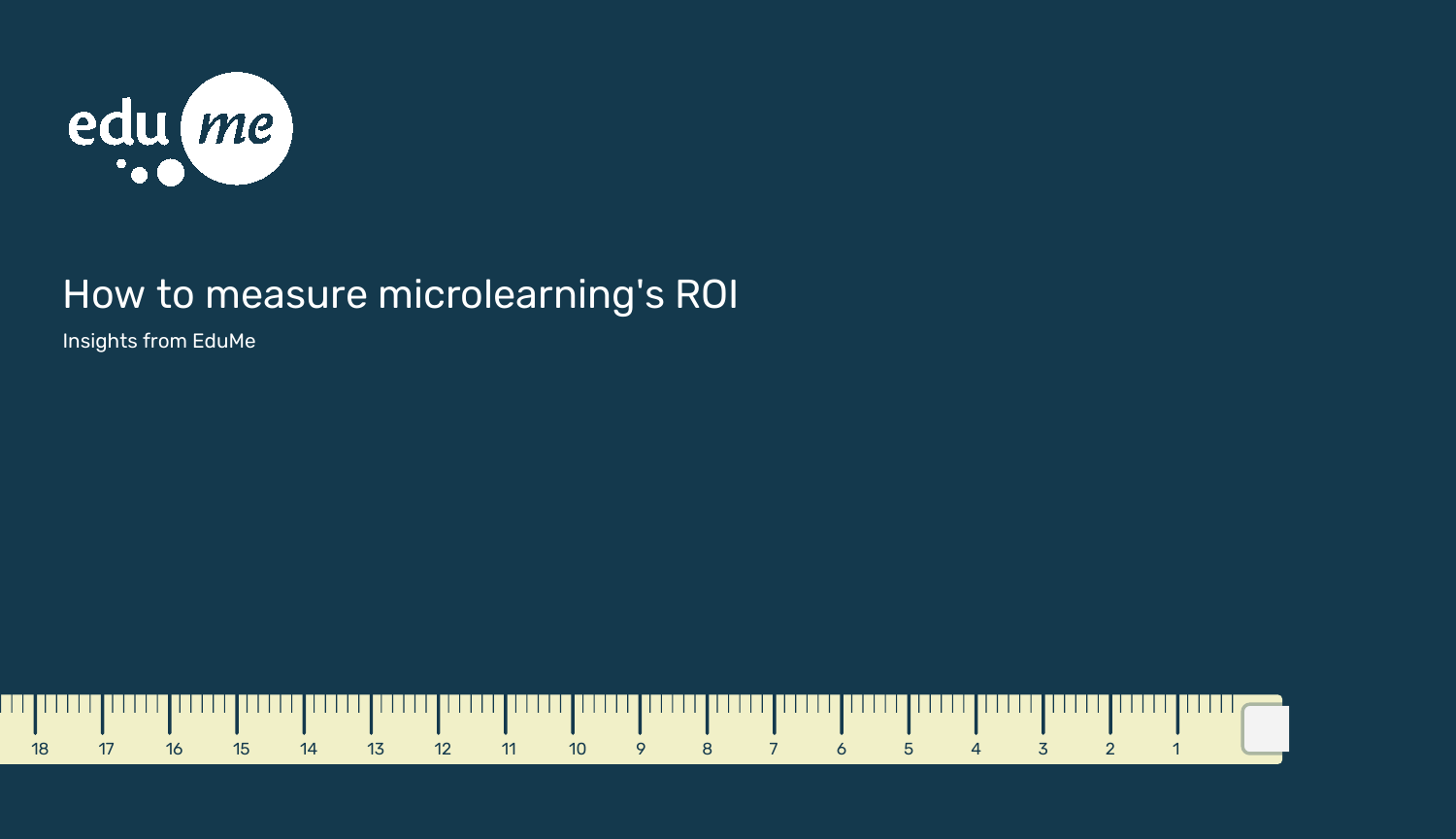

### How to measure microlearning's ROI

Insights from EduMe

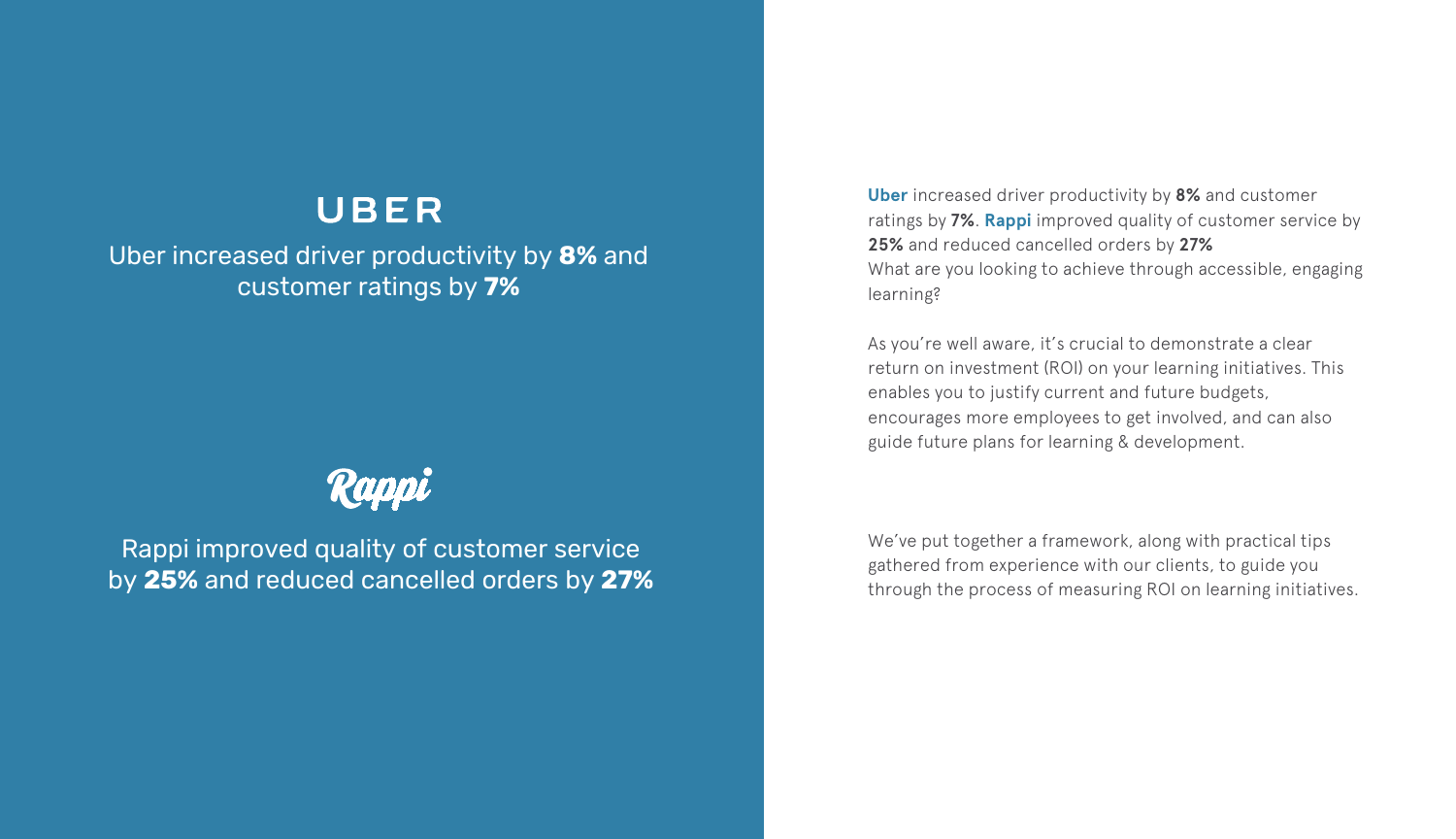**[Uber](https://www.dropbox.com/s/mmlgqb7rb75c4o0/Uber%20%26%20EduMe%20case%20study_Moving%20to%20a%20continuous%20learning%20journey.pdf?dl=0)** increased driver productivity by **8%** and customer ratings by **7%**. **[Rappi](https://www.edume.com/blog/how-rappi-is-using-microlearning-to-improve-customer-service)** improved quality of customer service by **25%** and reduced cancelled orders by **27%** What are you looking to achieve through accessible, engaging learning?

As you're well aware, it's crucial to demonstrate a clear return on investment (ROI) on your learning initiatives. This enables you to justify current and future budgets, encourages more employees to get involved, and can also guide future plans for learning & development.

We've put together a framework, along with practical tips gathered from experience with our clients, to guide you through the process of measuring ROI on learning initiatives.

Rappi improved quality of customer service by **25%** and reduced cancelled orders by **27%**

#### UBER

Uber increased driver productivity by **8%** and customer ratings by **7%**

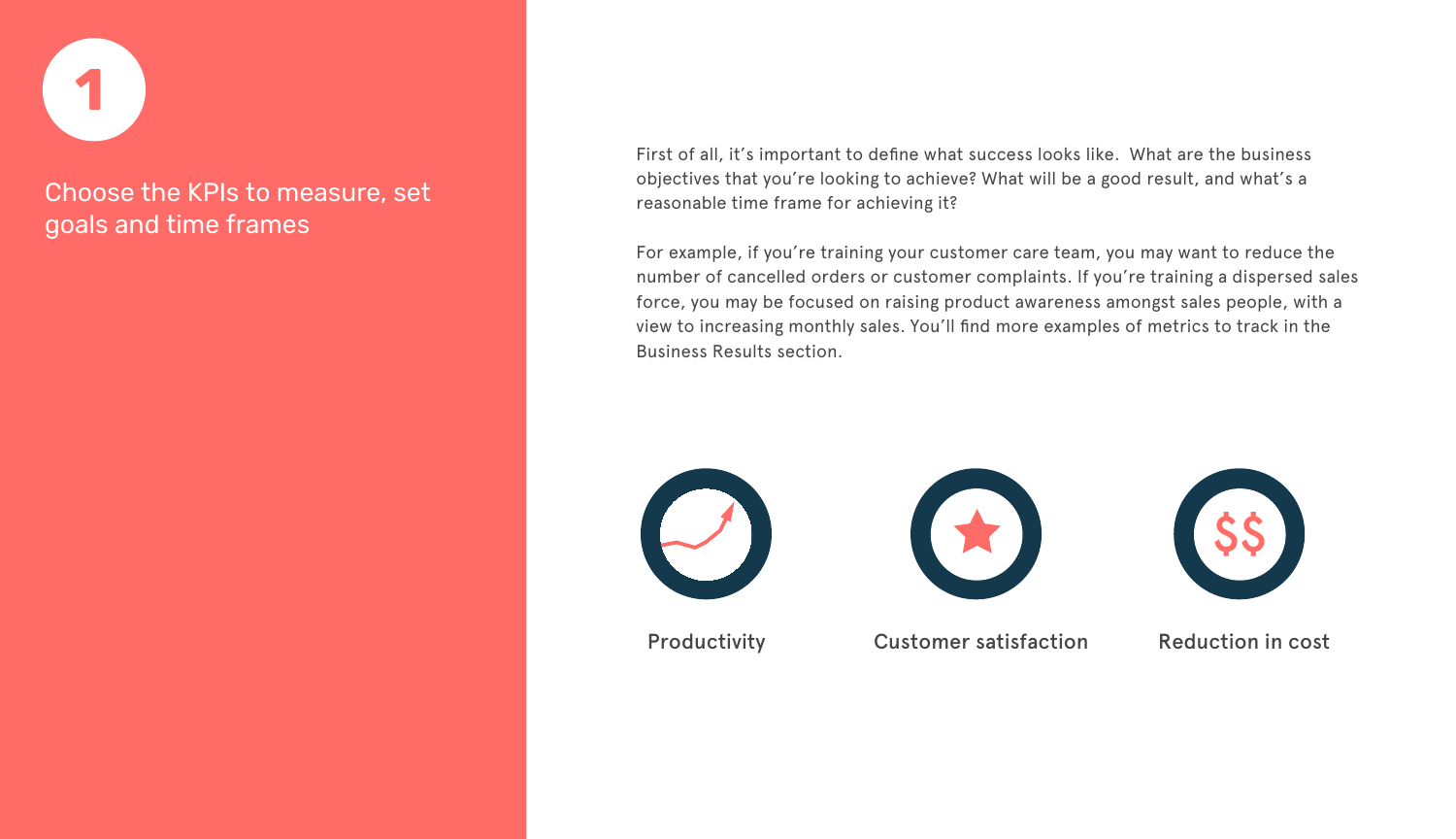

First of all, it's important to define what success looks like. What are the business objectives that you're looking to achieve? What will be a good result, and what's a reasonable time frame for achieving it?

For example, if you're training your customer care team, you may want to reduce the number of cancelled orders or customer complaints. If you're training a dispersed sales force, you may be focused on raising product awareness amongst sales people, with a view to increasing monthly sales. You'll find more examples of metrics to track in the Business Results section.





Productivity **Customer satisfaction** Reduction in cost



#### Choose the KPIs to measure, set goals and time frames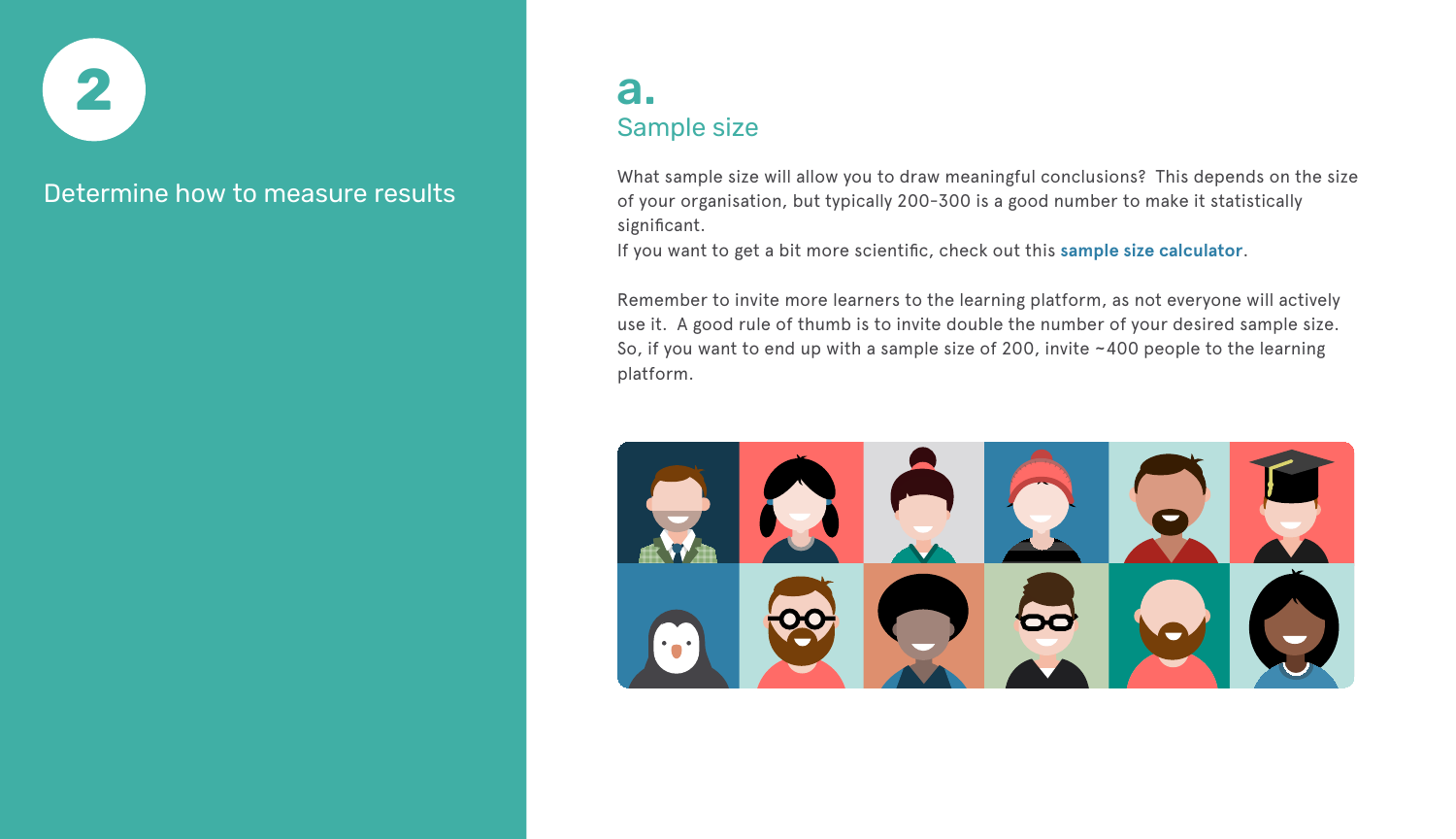

What sample size will allow you to draw meaningful conclusions? This depends on the size of your organisation, but typically 200-300 is a good number to make it statistically significant.

If you want to get a bit more scientific, check out this **[sample size calculator](https://www.surveysystem.com/sscalc.htm)**.

Remember to invite more learners to the learning platform, as not everyone will actively use it. A good rule of thumb is to invite double the number of your desired sample size. So, if you want to end up with a sample size of 200, invite ~400 people to the learning platform.



Determine how to measure results

#### a. Sample size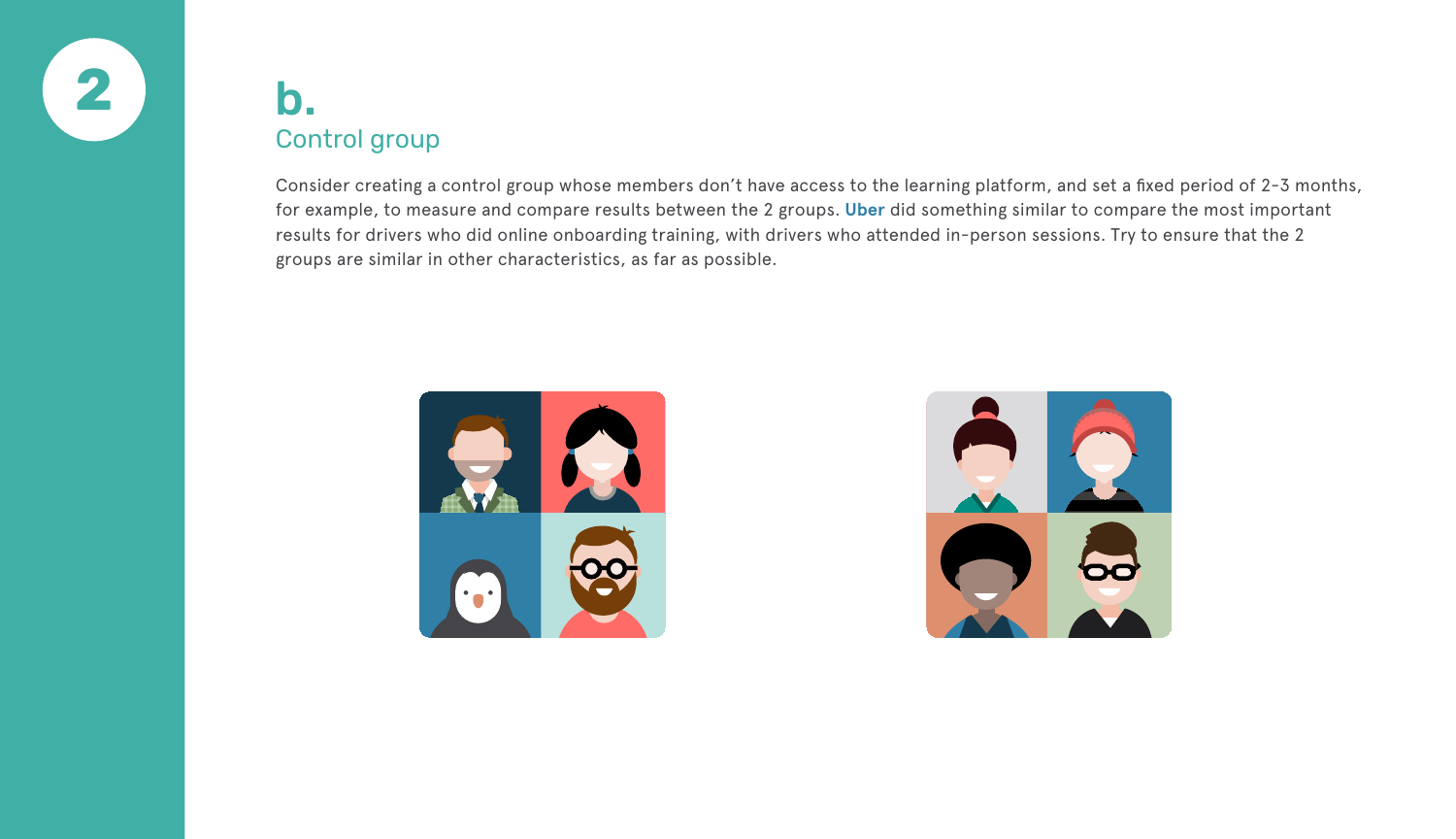

Consider creating a control group whose members don't have access to the learning platform, and set a fixed period of 2-3 months, for example, to measure and compare results between the 2 groups. **[Uber](https://www.edume.com/blog/uber-and-edume-proving-value-of-mobile-delivery)** did something similar to compare the most important results for drivers who did online onboarding training, with drivers who attended in-person sessions. Try to ensure that the 2 groups are similar in other characteristics, as far as possible.





#### b. Control group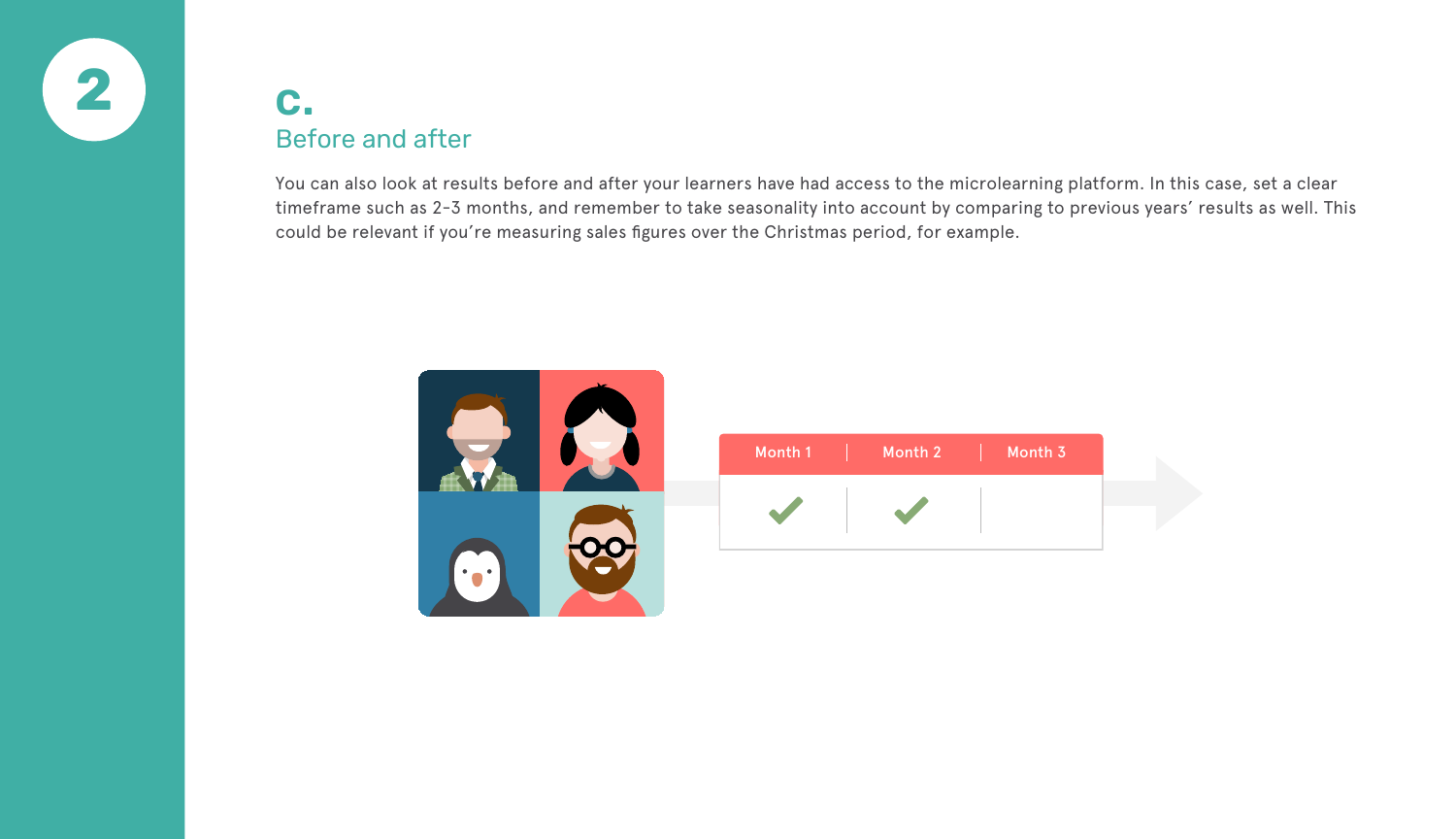

You can also look at results before and after your learners have had access to the microlearning platform. In this case, set a clear timeframe such as 2-3 months, and remember to take seasonality into account by comparing to previous years' results as well. This could be relevant if you're measuring sales figures over the Christmas period, for example.



#### c. Before and after

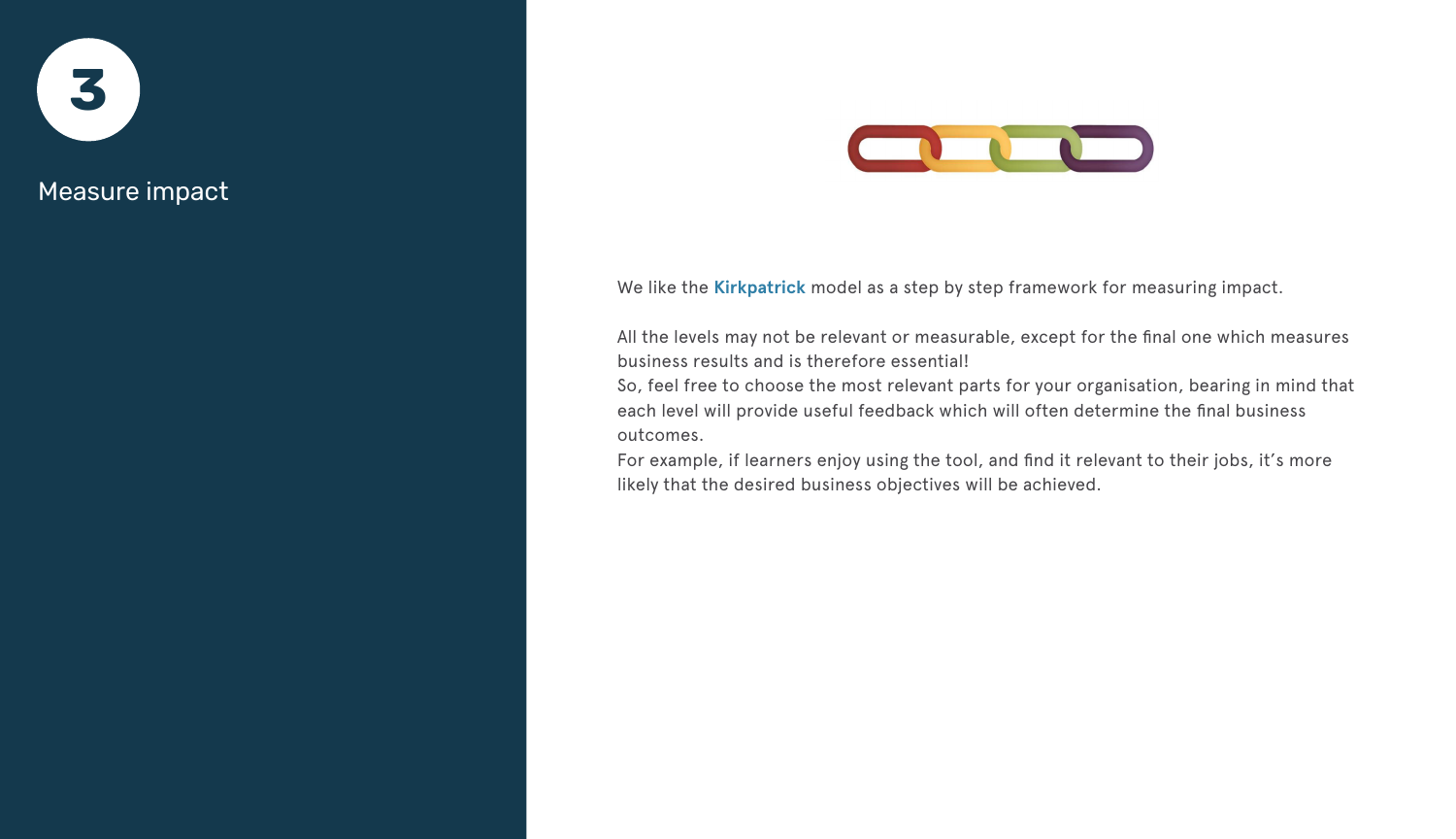

We like the **[Kirkpatrick](https://www.kirkpatrickpartners.com/Our-Philosophy/The-Kirkpatrick-Model)** model as a step by step framework for measuring impact.

All the levels may not be relevant or measurable, except for the final one which measures business results and is therefore essential! So, feel free to choose the most relevant parts for your organisation, bearing in mind that each level will provide useful feedback which will often determine the final business outcomes.

For example, if learners enjoy using the tool, and find it relevant to their jobs, it's more likely that the desired business objectives will be achieved.

#### Measure impact

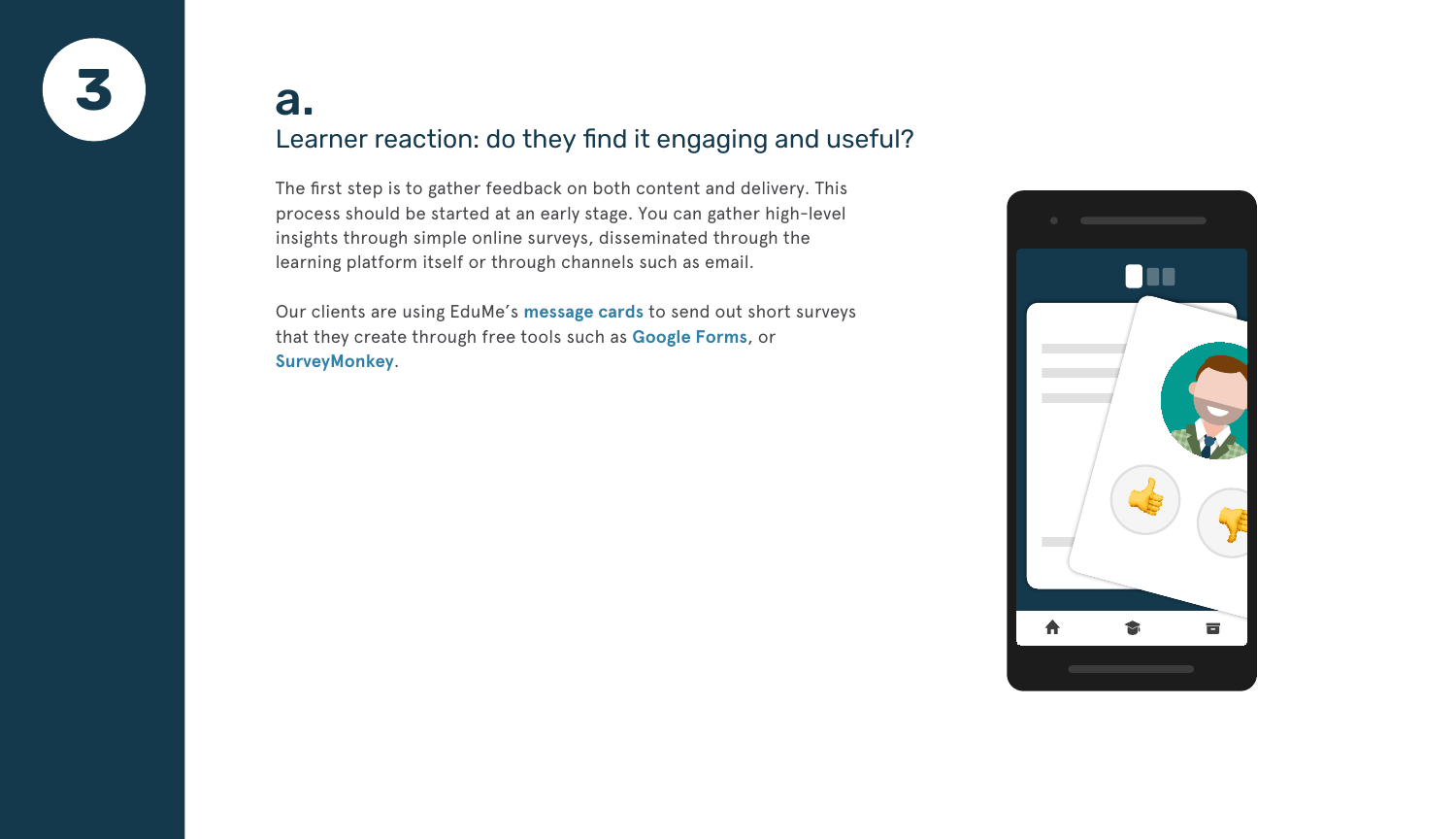

The first step is to gather feedback on both content and delivery. This process should be started at an early stage. You can gather high-level insights through simple online surveys, disseminated through the learning platform itself or through channels such as email.

Our clients are using EduMe's **[message cards](https://www.edume.com/product/)** to send out short surveys that they create through free tools such as **[Google Forms](https://www.google.co.uk/forms/about/)**, or **[SurveyMonkey](https://www.surveymonkey.com)**.

#### a. Learner reaction: do they find it engaging and useful?

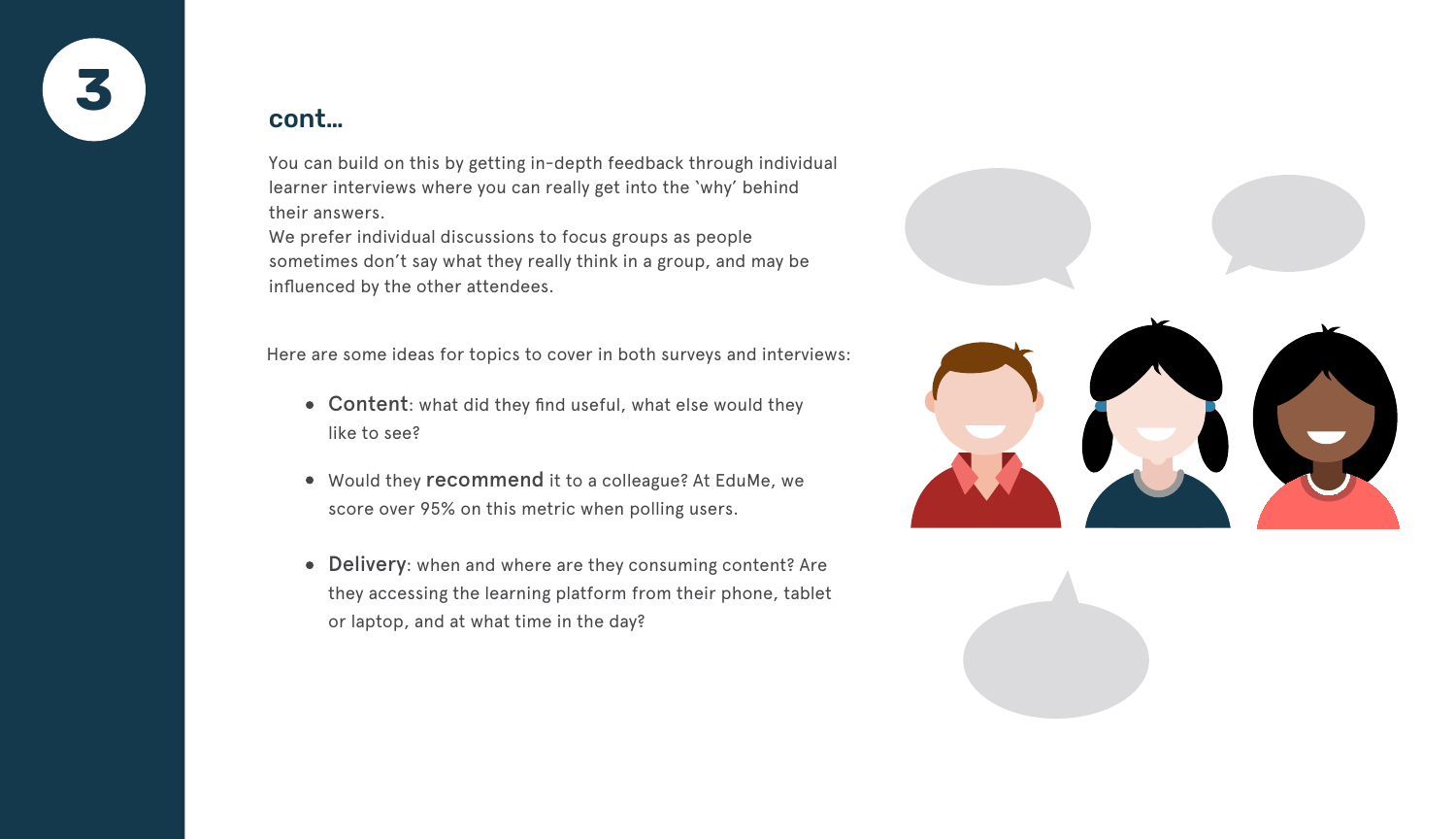

You can build on this by getting in-depth feedback through individual learner interviews where you can really get into the 'why' behind their answers.

We prefer individual discussions to focus groups as people sometimes don't say what they really think in a group, and may be influenced by the other attendees.

Here are some ideas for topics to cover in both surveys and interviews:

- Content: what did they find useful, what else would they like to see?
- Would they recommend it to a colleague? At EduMe, we score over 95% on this metric when polling users.
- Delivery: when and where are they consuming content? Are they accessing the learning platform from their phone, tablet or laptop, and at what time in the day?



#### cont…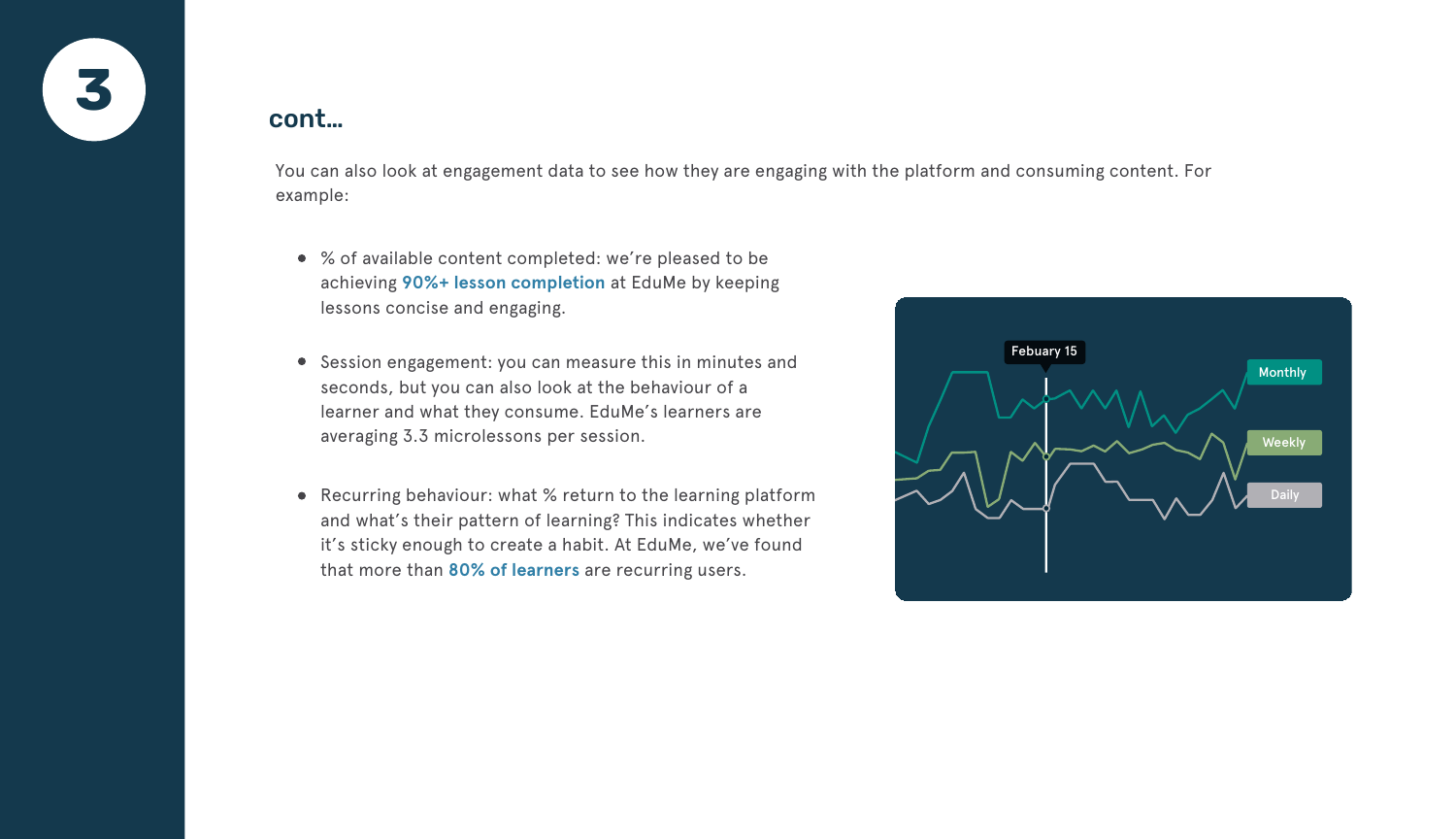

- % of available content completed: we're pleased to be achieving **[90%+ lesson completion](https://www.edume.com/blog/how-to-make-mobile-learning-work)** at EduMe by keeping lessons concise and engaging.
- Session engagement: you can measure this in minutes and seconds, but you can also look at the behaviour of a learner and what they consume. EduMe's learners are averaging 3.3 microlessons per session.
- Recurring behaviour: what % return to the learning platform and what's their pattern of learning? This indicates whether it's sticky enough to create a habit. At EduMe, we've found that more than **[80% of learners](https://www.edume.com/blog/how-to-make-mobile-learning-work)** are recurring users.

You can also look at engagement data to see how they are engaging with the platform and consuming content. For example:

#### cont…

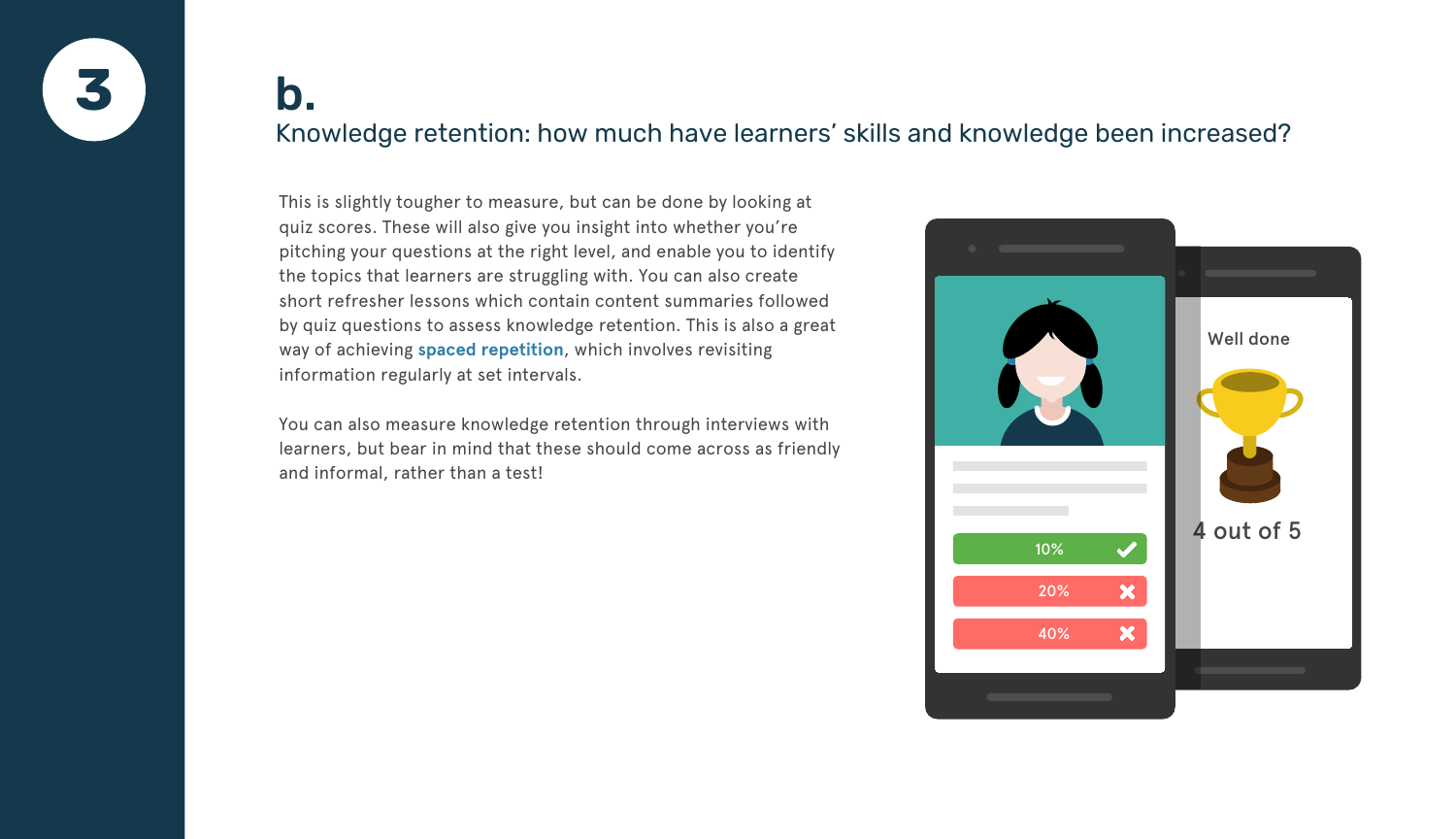

This is slightly tougher to measure, but can be done by looking at quiz scores. These will also give you insight into whether you're pitching your questions at the right level, and enable you to identify the topics that learners are struggling with. You can also create short refresher lessons which contain content summaries followed by quiz questions to assess knowledge retention. This is also a great way of achieving **sp[aced repetition](https://www.theguardian.com/education/2016/jan/23/spaced-repetition-a-hack-to-make-your-brain-store-information)**, which involves revisiting information regularly at set intervals.

You can also measure knowledge retention through interviews with learners, but bear in mind that these should come across as friendly and informal, rather than a test!

### b. Knowledge retention: how much have learners' skills and knowledge been increased?

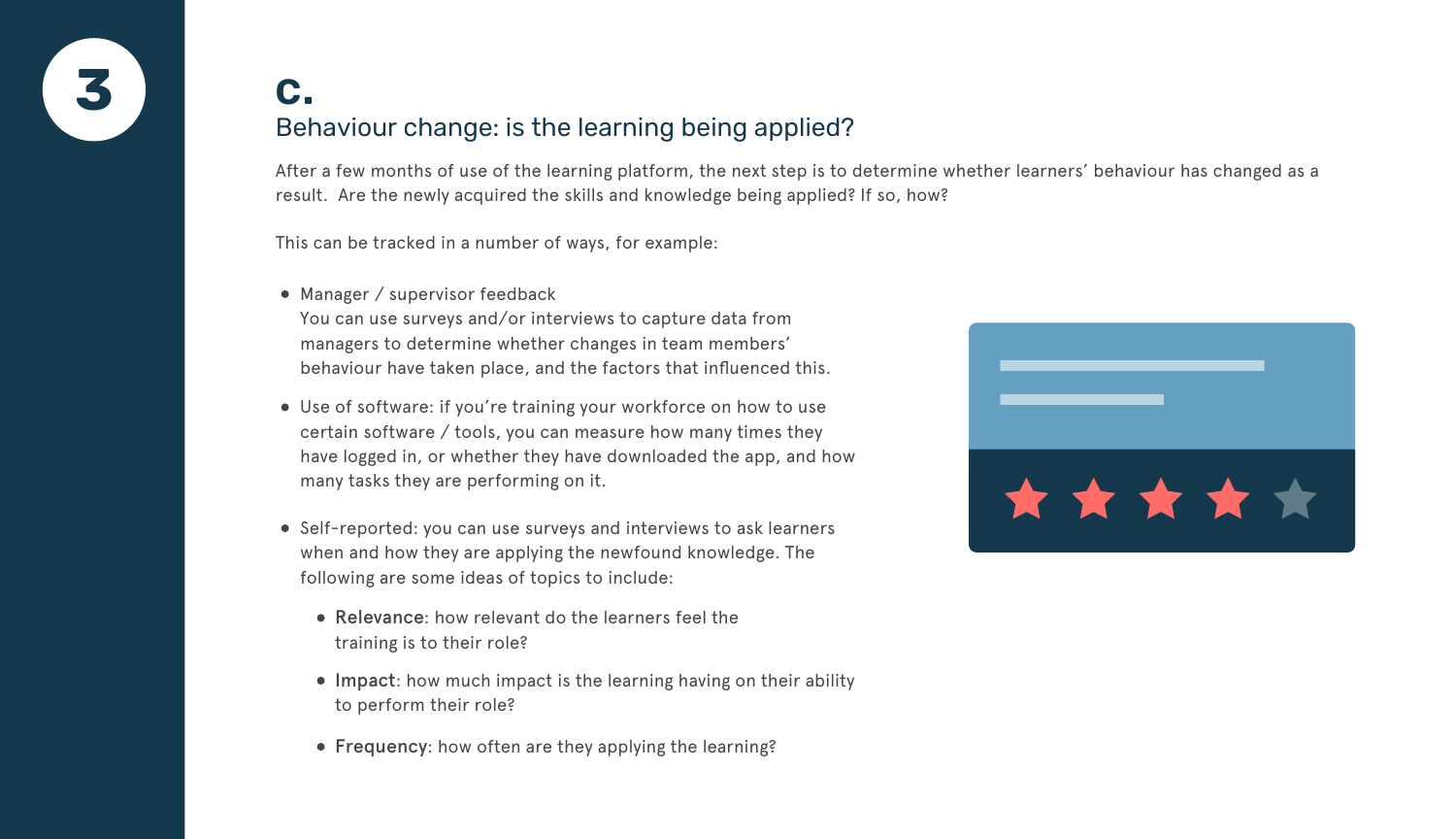**3**

After a few months of use of the learning platform, the next step is to determine whether learners' behaviour has changed as a result. Are the newly acquired the skills and knowledge being applied? If so, how?

This can be tracked in a number of ways, for example:

- Use of software: if you're training your workforce on how to use certain software / tools, you can measure how many times they have logged in, or whether they have downloaded the app, and how many tasks they are performing on it.
- Self-reported: you can use surveys and interviews to ask learners when and how they are applying the newfound knowledge. The following are some ideas of topics to include:
	- Relevance: how relevant do the learners feel the training is to their role?
	- Impact: how much impact is the learning having on their ability to perform their role?
	- Frequency: how often are they applying the learning?

• Manager / supervisor feedback



You can use surveys and/or interviews to capture data from managers to determine whether changes in team members' behaviour have taken place, and the factors that influenced this.

### c. Behaviour change: is the learning being applied?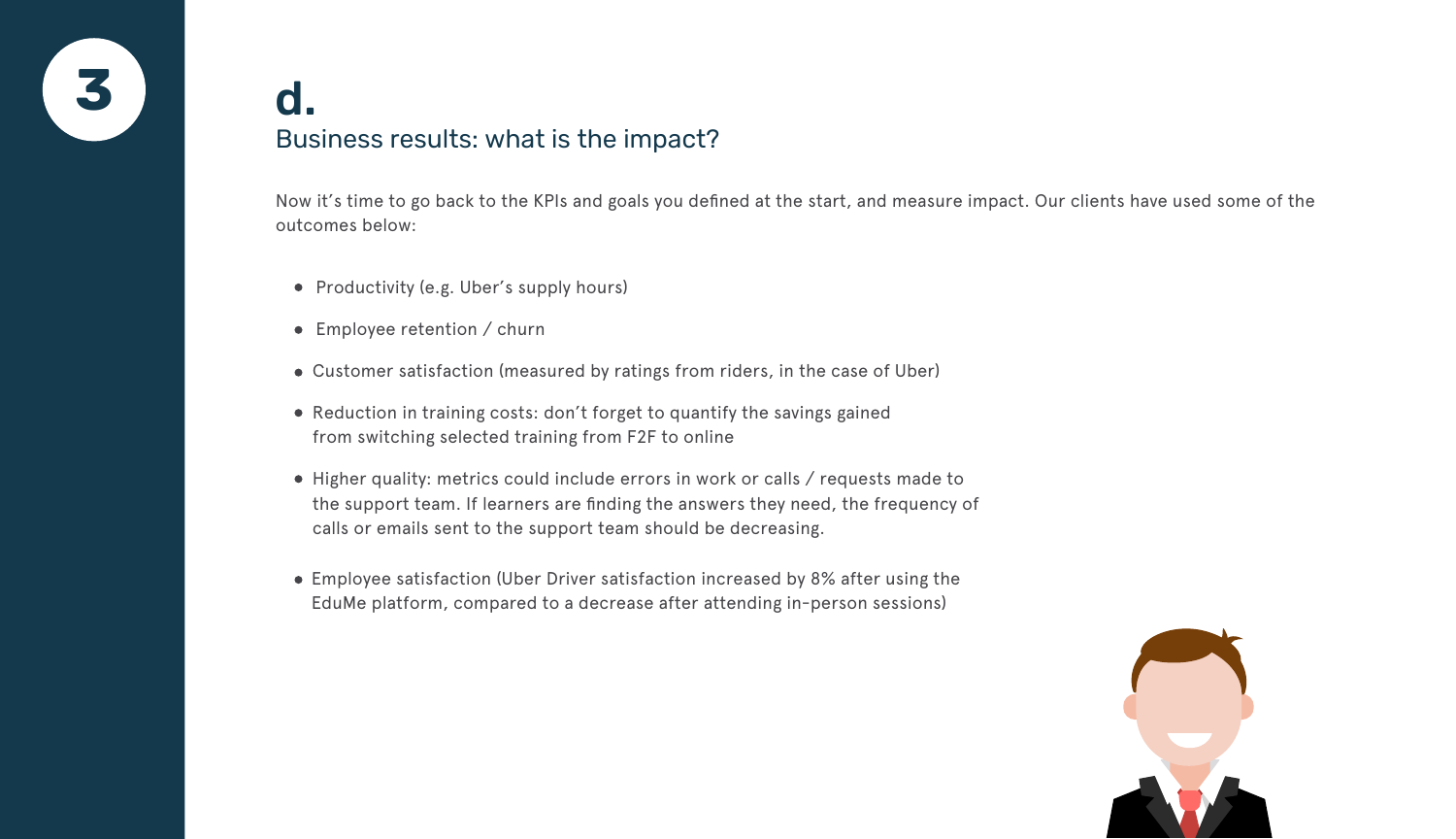Now it's time to go back to the KPIs and goals you defined at the start, and measure impact. Our clients have used some of the outcomes below:

- Productivity (e.g. Uber's supply hours)
- Employee retention / churn
- Customer satisfaction (measured by ratings from riders, in the case of Uber)
- Reduction in training costs: don't forget to quantify the savings gained from switching selected training from F2F to online
- Higher quality: metrics could include errors in work or calls / requests made to the support team. If learners are finding the answers they need, the frequency of calls or emails sent to the support team should be decreasing.
- Employee satisfaction (Uber Driver satisfaction increased by 8% after using the EduMe platform, compared to a decrease after attending in-person sessions)





# Business results: what is the impact?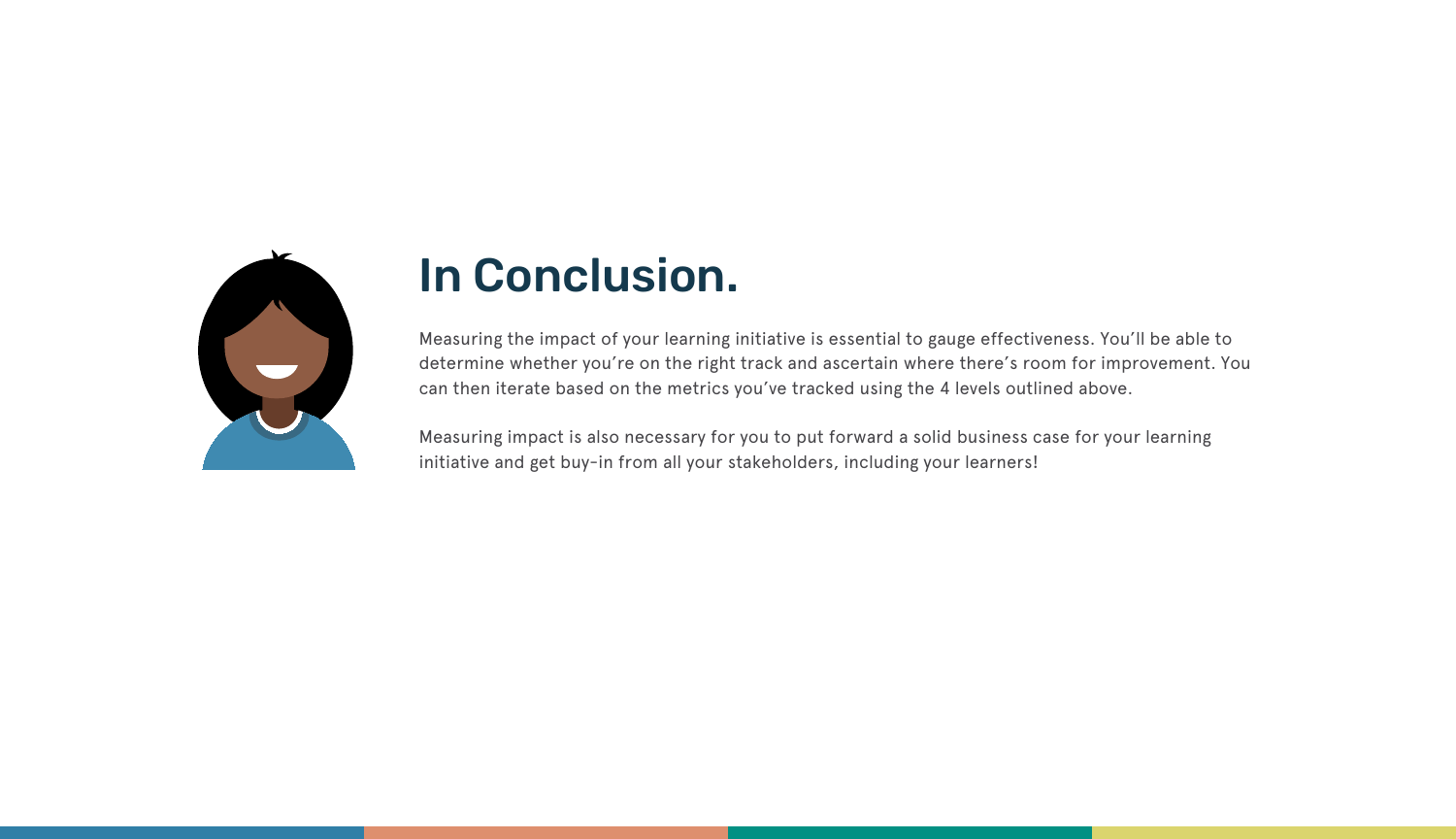Measuring the impact of your learning initiative is essential to gauge effectiveness. You'll be able to determine whether you're on the right track and ascertain where there's room for improvement. You can then iterate based on the metrics you've tracked using the 4 levels outlined above.

Measuring impact is also necessary for you to put forward a solid business case for your learning initiative and get buy-in from all your stakeholders, including your learners!



## In Conclusion.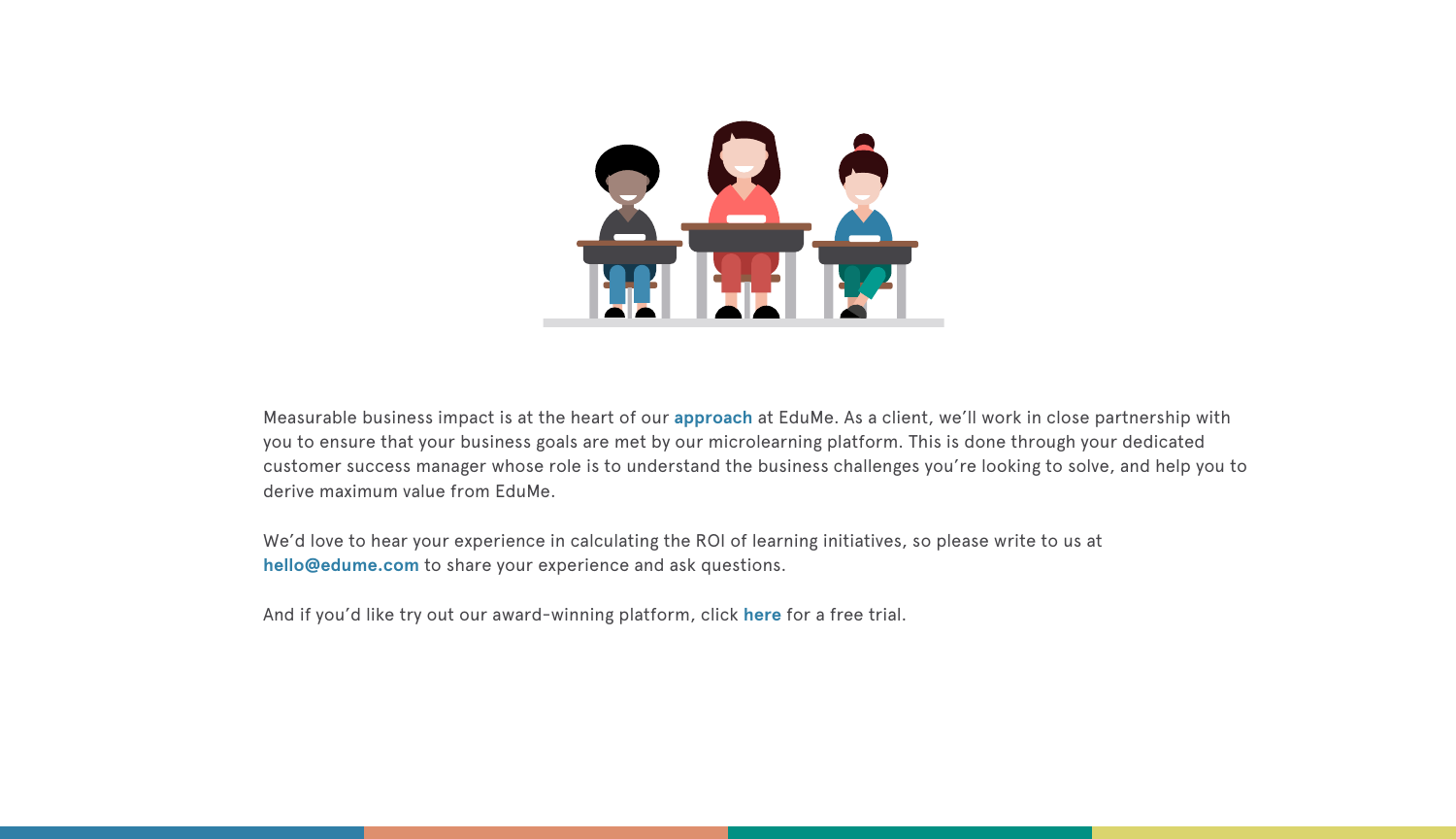

Measurable business impact is at the heart of our **[approach](https://www.edume.com/blog/2017/7/10/a-6-step-guide-to-delivering-business-results-through-mobile-learning)** at EduMe. As a client, we'll work in close partnership with you to ensure that your business goals are met by our microlearning platform. This is done through your dedicated customer success manager whose role is to understand the business challenges you're looking to solve, and help you to derive maximum value from EduMe.

We'd love to hear your experience in calculating the ROI of learning initiatives, so please write to us at **[hello@edume.com](mailto:hello@edume.com)** to share your experience and ask questions.

And if you'd like try out our award-winning platform, click **[here](https://www.edume.com/get-started-2/)** for a free trial.